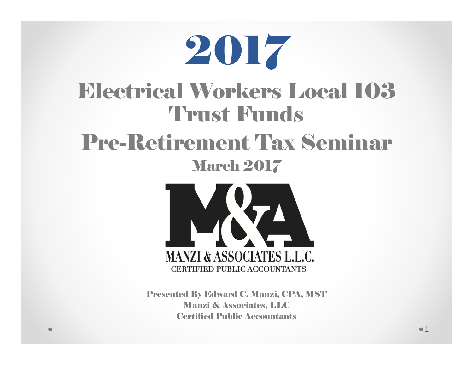



Presented By Edward C. Manzi, CPA, MST Manzi & Associates, LLC Certified Public Accountants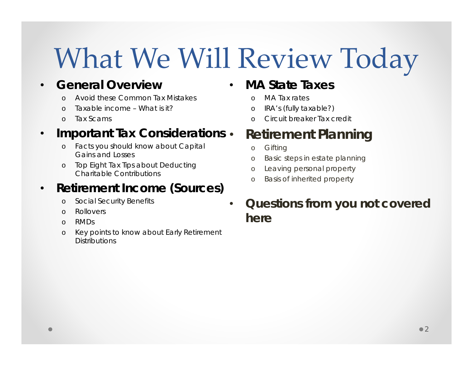### What We Will Review Today

•

#### •**• General Overview**

- oAvoid these Common Tax Mistakes
- oTaxable income – What is it?
- oTax Scams

#### •**• Important Tax Considerations •**

- o Facts you should know about Capital Gains and Losses
- o Top Eight Tax Tips about Deducting Charitable Contributions

#### •**Retirement Income (Sources)**

- oSocial Security Benefits
- oRollovers
- oRMDs
- o Key points to know about Early Retirement **Distributions**

#### •**MA State Taxes**

- oMA Tax rates
- oIRA's (fully taxable?)
- oCircuit breaker Tax credit

#### **Retirement Planning**

- o**Gifting**
- oBasic steps in estate planning
- oLeaving personal property
- oBasis of inherited property
- **Questions from you not covered here**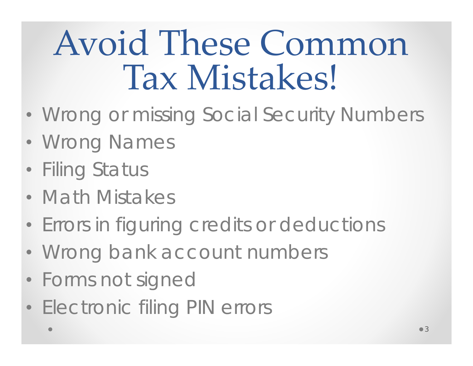## Avoid These Common Tax Mistakes!

- Wrong or missing Social Security Numbers
- Wrong Names
- Filing Status
- Math Mistakes
- Errors in figuring credits or deductions
- Wrong bank account numbers
- Forms not signed
- Electronic filing PIN errors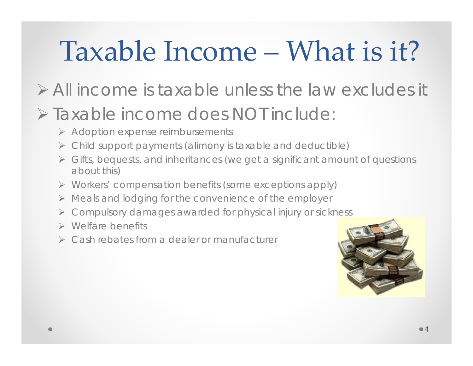#### Taxable Income – What is it?

#### All income is taxable unless the law excludes it

#### Taxable income does NOT include:

- Adoption expense reimbursements
- Child support payments (alimony is taxable and deductible)
- Gifts, bequests, and inheritances (we get a significant amount of questions about this)
- Workers' compensation benefits (some exceptions apply)
- Meals and lodging for the convenience of the employer
- Compulsory damages awarded for physical injury or sickness
- Welfare benefits
- Cash rebates from a dealer or manufacturer

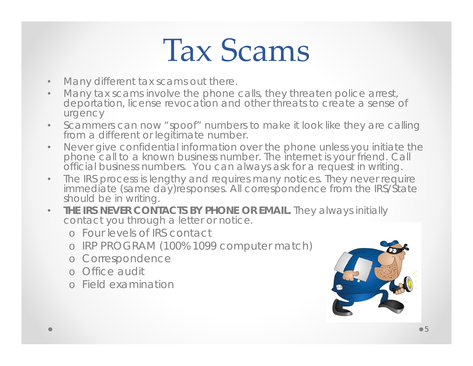### Tax Scams

- •Many different tax scams out there.
- $\bullet$  Many tax scams involve the phone calls, they threaten police arrest, deportation, license revocation and other threats to create a sense of urgency
- $\bullet$  Scammers can now "spoof" numbers to make it look like they are calling from a different or legitimate number.
- $\bullet$  Never give confidential information over the phone unless you initiate the phone call to a known business number. The internet is your friend. Call official business numbers. You can always ask for a request in writing.
- $\bullet$  The IRS process is lengthy and requires many notices. They never require immediate (same day)responses. All correspondence from the IRS/State should be in writing.
- $\bullet$  **THE IRS NEVER CONTACTS BY PHONE OR EMAIL.** They always initially contact you through a letter or notice.
	- o Four levels of IRS contact
	- o IRP PROGRAM (100% 1099 computer match)
	- o Correspondence
	- o Office audit
	- o Field examination

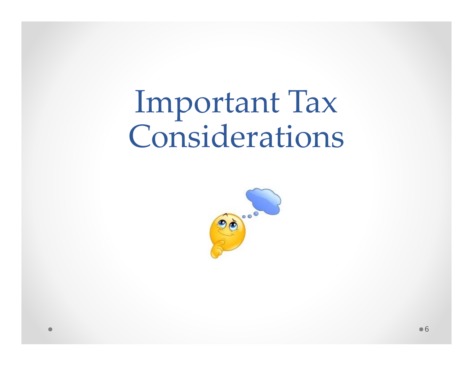### Important Tax Considerations

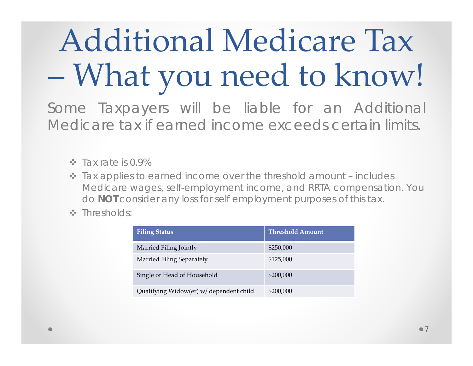## Additional Medicare Tax What you need to know!

Some Taxpayers will be liable for an Additional Medicare tax if earned income exceeds certain limits.

- $\cdot$  Tax rate is 0.9%
- Tax applies to earned income over the threshold amount includes Medicare wages, self-employment income, and RRTA compensation. You do **NOT** consider any loss for self employment purposes of this tax.
- Thresholds:

| <b>Filing Status</b>                    | <b>Threshold Amount</b> |
|-----------------------------------------|-------------------------|
| Married Filing Jointly                  | \$250,000               |
| Married Filing Separately               | \$125,000               |
| Single or Head of Household             | \$200,000               |
| Qualifying Widow(er) w/ dependent child | \$200,000               |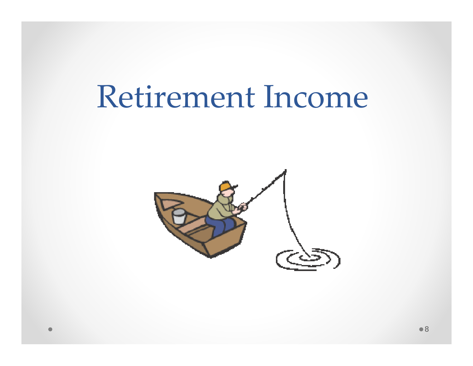#### Retirement Income

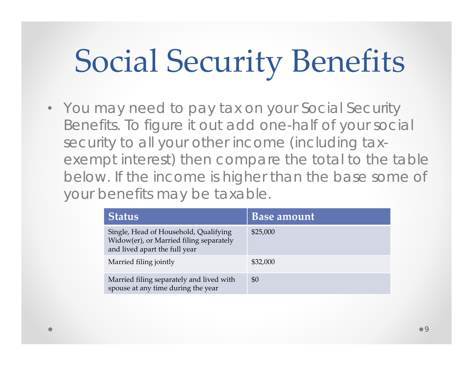## Social Security Benefits

• You may need to pay tax on your Social Security Benefits. To figure it out add one-half of your social security to all your other income (including taxexempt interest) then compare the total to the table below. If the income is higher than the base some of your benefits may be taxable.

| <b>Status</b>                                                                                                     | <b>Base</b> amount |
|-------------------------------------------------------------------------------------------------------------------|--------------------|
| Single, Head of Household, Qualifying<br>Widow(er), or Married filing separately<br>and lived apart the full year | \$25,000           |
| Married filing jointly                                                                                            | \$32,000           |
| Married filing separately and lived with<br>spouse at any time during the year                                    | \$0                |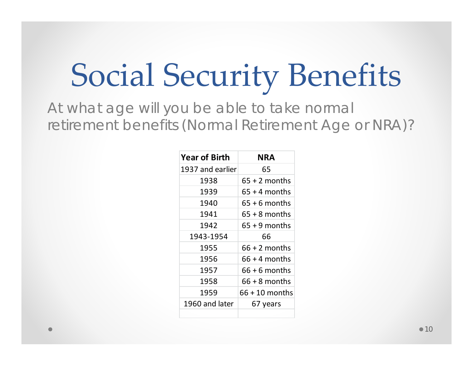### Social Security Benefits

At what age will you be able to take normal retirement benefits (Normal Retirement Age or NRA)?

| <b>Year of Birth</b> | NRA              |
|----------------------|------------------|
| 1937 and earlier     | 65               |
| 1938                 | $65 + 2$ months  |
| 1939                 | $65 + 4$ months  |
| 1940                 | $65 + 6$ months  |
| 1941                 | $65 + 8$ months  |
| 1942                 | $65 + 9$ months  |
| 1943-1954            | 66               |
| 1955                 | $66 + 2$ months  |
| 1956                 | $66 + 4$ months  |
| 1957                 | $66 + 6$ months  |
| 1958                 | $66 + 8$ months  |
| 1959                 | $66 + 10$ months |
| 1960 and later       | 67 years         |
|                      |                  |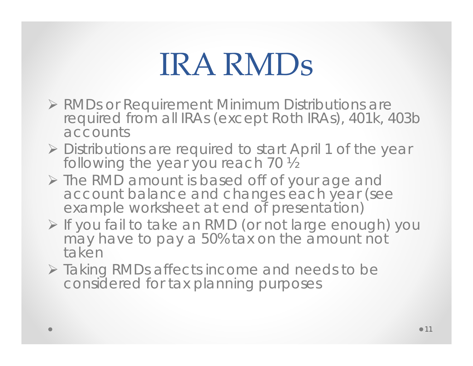### IRA RMDs

- > RMDs or Requirement Minimum Distributions are required from all IRAs (except Roth IRAs), 401k, 403b accounts
- Distributions are required to start April 1 of the year following the year you reach 70 ½
- > The RMD amount is based off of your age and account balance and changes each year (see example worksheet at end of presentation)
- If you fail to take an RMD (or not large enough) you may have to pay a 50% tax on the amount not taken
- Taking RMDs affects income and needs to be considered for tax planning purposes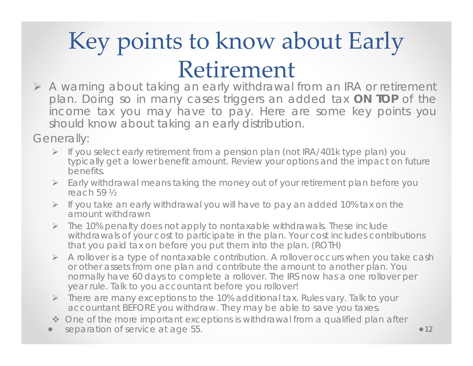#### Key points to know about Early Retirement

 A warning about taking an early withdrawal from an IRA or retirement plan. Doing so in many cases triggers an added tax **ON TOP** of the income tax you may have to pay. Here are some key points you should know about taking an early distribution.

Generally:

- If you select early retirement from a pension plan (not IRA/401k type plan) you typically get a lower benefit amount. Review your options and the impact on future benefits.
- Early withdrawal means taking the money out of your retirement plan before you reach 59 ½
- $\triangleright$  If you take an early withdrawal you will have to pay an added 10% tax on the amount withdrawn
- $\triangleright$  The 10% penalty does not apply to nontaxable withdrawals. These include withdrawals of your cost to participate in the plan. Your cost includes contributions that you paid tax on before you put them into the plan. (ROTH)
- A rollover is a type of nontaxable contribution. A rollover occurs when you take cash or other assets from one plan and contribute the amount to another plan. You normally have 60 days to complete a rollover. The IRS now has a one rollover per year rule. Talk to you accountant before you rollover!
- There are many exceptions to the 10% additional tax. Rules vary. Talk to your accountant BEFORE you withdraw. They may be able to save you taxes.
- One of the more important exceptions is withdrawal from a qualified plan after
- separation of service at age 55.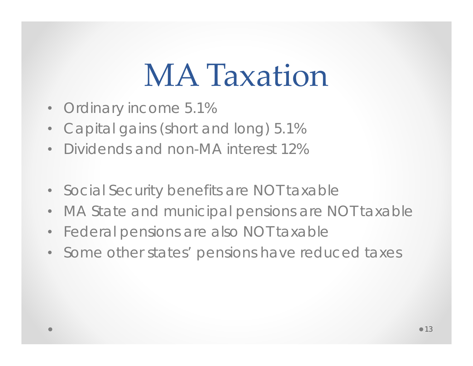### **MA Taxation**

- $\bullet$ Ordinary income 5.1%
- $\bullet$ Capital gains (short and long) 5.1%
- $\bullet$ Dividends and non-MA interest 12%
- •Social Security benefits are NOT taxable
- •MA State and municipal pensions are NOT taxable
- •Federal pensions are also NOT taxable
- Some other states' pensions have reduced taxes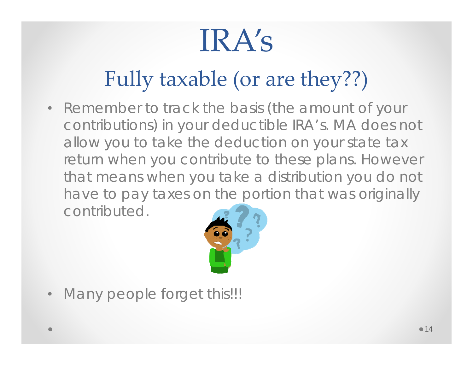## IRA's

#### Fully taxable (or are they??)

• Remember to track the basis (the amount of your contributions) in your deductible IRA's. MA does not allow you to take the deduction on your state tax return when you contribute to these plans. However that means when you take a distribution you do not have to pay taxes on the portion that was originally contributed.



•Many people forget this!!!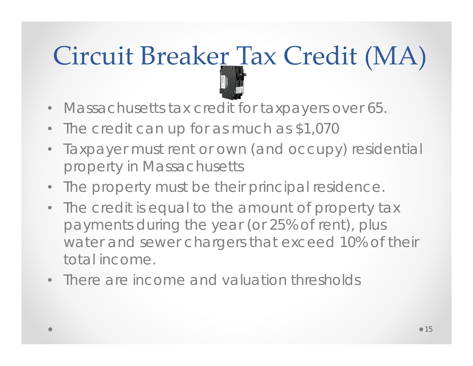# Circuit Breaker Tax Credit (MA)

- Massachusetts tax credit for taxpayers over 65.
- •The credit can up for as much as \$1,070
- Taxpayer must rent or own (and occupy) residential property in Massachusetts
- The property must be their principal residence.
- The credit is equal to the amount of property tax payments during the year (or 25% of rent), plus water and sewer chargers that exceed 10% of their total income.
- There are income and valuation thresholds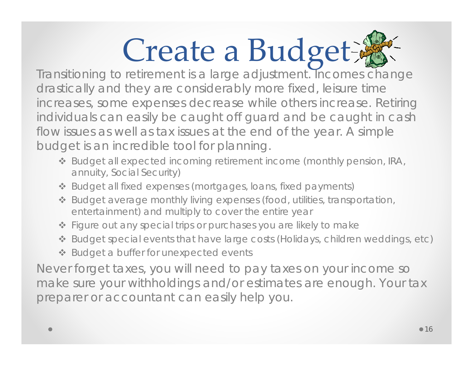# Create a Budget

drastically and they are considerably more fixed, leisure time increases, some expenses decrease while others increase. Retiring individuals can easily be caught off guard and be caught in cash flow issues as well as tax issues at the end of the year. A simple budget is an incredible tool for planning.

- Budget all expected incoming retirement income (monthly pension, IRA, annuity, Social Security)
- Budget all fixed expenses (mortgages, loans, fixed payments)
- Budget average monthly living expenses (food, utilities, transportation, entertainment) and multiply to cover the entire year
- Figure out any special trips or purchases you are likely to make
- Budget special events that have large costs (Holidays, children weddings, etc)
- ❖ Budget a buffer for unexpected events

Never forget taxes, you will need to pay taxes on your income so make sure your withholdings and/or estimates are enough. Your tax preparer or accountant can easily help you.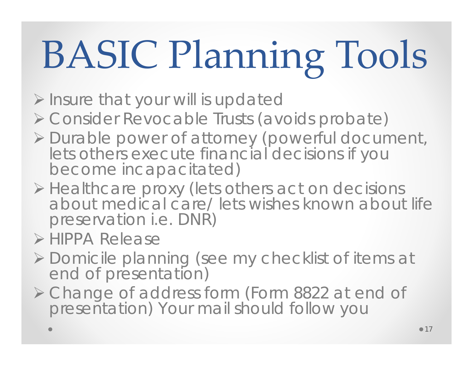# BASIC Planning Tools

- $\triangleright$  Insure that your will is updated
- Consider Revocable Trusts (avoids probate)
- Durable power of attorney (powerful document, lets others execute financial decisions if you become incapacitated)
- Healthcare proxy (lets others act on decisions about medical care/ lets wishes known about life preservation i.e. DNR)
- > HIPPA Release
- Domicile planning (see my checklist of items at end of presentation)
- Change of address form (Form 8822 at end of presentation) Your mail should follow you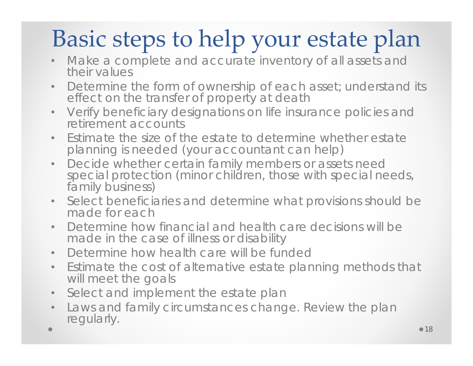#### Basic steps to help your estate plan

- • Make a complete and accurate inventory of all assets and their values
- $\bullet$ Determine the form of ownership of each asset; understand its effect on the transfer of property at death
- $\bullet$  Verify beneficiary designations on life insurance policies and retirement accounts
- $\bullet$  Estimate the size of the estate to determine whether estate planning is needed (your accountant can help)
- $\bullet$ Decide whether certain family members or assets need<br>special protection (minor children, those with special needs,<br>family business)
- $\bullet$  Select beneficiaries and determine what provisions should be made for each
- $\bullet$  Determine how financial and health care decisions will be made in the case of illness or disability
- •Determine how health care will be funded
- $\bullet$  Estimate the cost of alternative estate planning methods that will meet the goals
- $\bullet$ Select and implement the estate plan
- $\bullet$  Laws and family circumstances change. Review the plan regularly.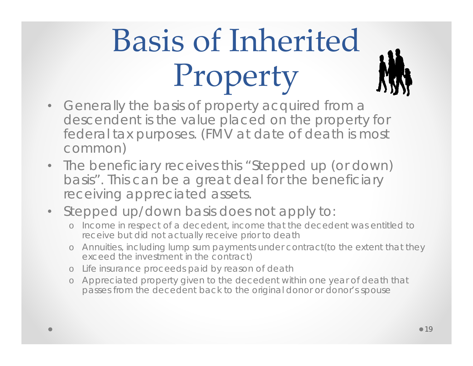## Basis of Inherited Property

- $\bullet$  Generally the basis of property acquired from a descendent is the value placed on the property for federal tax purposes. (FMV at date of death is most common)
- • The beneficiary receives this "Stepped up (or down) basis". This can be a great deal for the beneficiary receiving appreciated assets.
- Stepped up/down basis does not apply to:
	- o Income in respect of a decedent, income that the decedent was entitled to receive but did not actually receive prior to death
	- o Annuities, including lump sum payments under contract(to the extent that they exceed the investment in the contract)
	- o Life insurance proceeds paid by reason of death
	- o Appreciated property given to the decedent within one year of death that passes from the decedent back to the original donor or donor's spouse